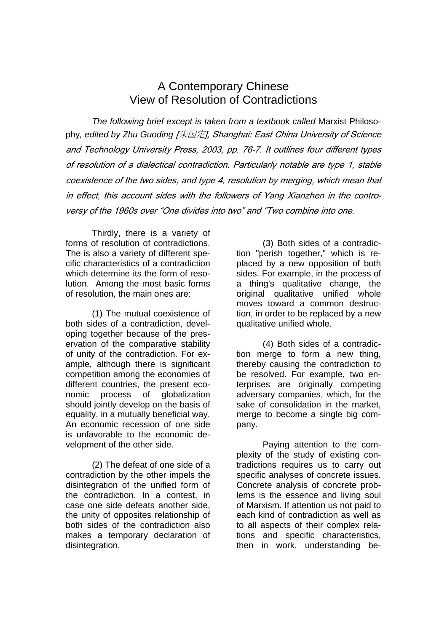## A Contemporary Chinese View of Resolution of Contradictions

*The following brief except is taken from a textbook called* Marxist Philosophy*, edited by Zhu Guoding* [朱国定], Shanghai: East China University of Science and Technology University Press, 2003, pp. 76-7. It outlines four different types of resolution of a dialectical contradiction. Particularly notable are type 1, stable coexistence of the two sides, and type 4, resolution by merging, which mean that in effect, this account sides with the followers of Yang Xianzhen in the controversy of the 1960s over "One divides into two" and "Two combine into one.

Thirdly, there is a variety of forms of resolution of contradictions. The is also a variety of different specific characteristics of a contradiction which determine its the form of resolution. Among the most basic forms of resolution, the main ones are:

 (1) The mutual coexistence of both sides of a contradiction, developing together because of the preservation of the comparative stability of unity of the contradiction. For example, although there is significant competition among the economies of different countries, the present economic process of globalization should jointly develop on the basis of equality, in a mutually beneficial way. An economic recession of one side is unfavorable to the economic development of the other side.

 (2) The defeat of one side of a contradiction by the other impels the disintegration of the unified form of the contradiction. In a contest, in case one side defeats another side, the unity of opposites relationship of both sides of the contradiction also makes a temporary declaration of disintegration.

 (3) Both sides of a contradiction "perish together," which is replaced by a new opposition of both sides. For example, in the process of a thing's qualitative change, the original qualitative unified whole moves toward a common destruction, in order to be replaced by a new qualitative unified whole.

 (4) Both sides of a contradiction merge to form a new thing, thereby causing the contradiction to be resolved. For example, two enterprises are originally competing adversary companies, which, for the sake of consolidation in the market, merge to become a single big company.

 Paying attention to the complexity of the study of existing contradictions requires us to carry out specific analyses of concrete issues. Concrete analysis of concrete problems is the essence and living soul of Marxism. If attention us not paid to each kind of contradiction as well as to all aspects of their complex relations and specific characteristics, then in work, understanding be